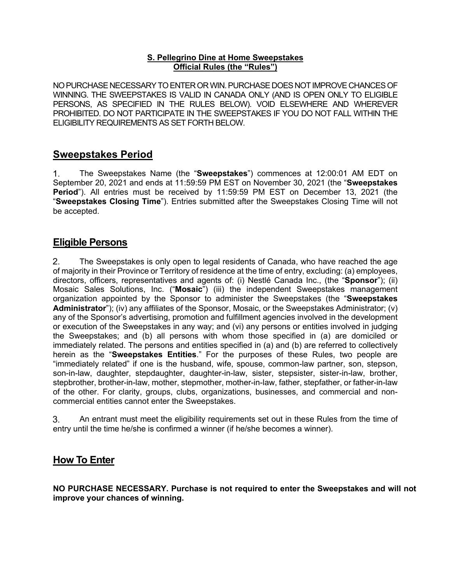#### **S. Pellegrino Dine at Home Sweepstakes Official Rules (the "Rules")**

NO PURCHASE NECESSARY TO ENTER OR WIN. PURCHASE DOES NOT IMPROVE CHANCES OF WINNING. THE SWEEPSTAKES IS VALID IN CANADA ONLY (AND IS OPEN ONLY TO ELIGIBLE PERSONS, AS SPECIFIED IN THE RULES BELOW). VOID ELSEWHERE AND WHEREVER PROHIBITED. DO NOT PARTICIPATE IN THE SWEEPSTAKES IF YOU DO NOT FALL WITHIN THE ELIGIBILITY REQUIREMENTS AS SET FORTH BELOW.

# **Sweepstakes Period**

 $1_{-}$ The Sweepstakes Name (the "**Sweepstakes**") commences at 12:00:01 AM EDT on September 20, 2021 and ends at 11:59:59 PM EST on November 30, 2021 (the "**Sweepstakes Period**"). All entries must be received by 11:59:59 PM EST on December 13, 2021 (the "**Sweepstakes Closing Time**"). Entries submitted after the Sweepstakes Closing Time will not be accepted.

## **Eligible Persons**

 $2.$ The Sweepstakes is only open to legal residents of Canada, who have reached the age of majority in their Province or Territory of residence at the time of entry, excluding: (a) employees, directors, officers, representatives and agents of: (i) Nestlé Canada Inc., (the "**Sponsor**"); (ii) Mosaic Sales Solutions, Inc. ("**Mosaic**") (iii) the independent Sweepstakes management organization appointed by the Sponsor to administer the Sweepstakes (the "**Sweepstakes Administrator**"); (iv) any affiliates of the Sponsor, Mosaic, or the Sweepstakes Administrator; (v) any of the Sponsor's advertising, promotion and fulfillment agencies involved in the development or execution of the Sweepstakes in any way; and (vi) any persons or entities involved in judging the Sweepstakes; and (b) all persons with whom those specified in (a) are domiciled or immediately related. The persons and entities specified in (a) and (b) are referred to collectively herein as the "**Sweepstakes Entities**." For the purposes of these Rules, two people are "immediately related" if one is the husband, wife, spouse, common-law partner, son, stepson, son-in-law, daughter, stepdaughter, daughter-in-law, sister, stepsister, sister-in-law, brother, stepbrother, brother-in-law, mother, stepmother, mother-in-law, father, stepfather, or father-in-law of the other. For clarity, groups, clubs, organizations, businesses, and commercial and noncommercial entities cannot enter the Sweepstakes.

3. An entrant must meet the eligibility requirements set out in these Rules from the time of entry until the time he/she is confirmed a winner (if he/she becomes a winner).

# **How To Enter**

**NO PURCHASE NECESSARY. Purchase is not required to enter the Sweepstakes and will not improve your chances of winning.**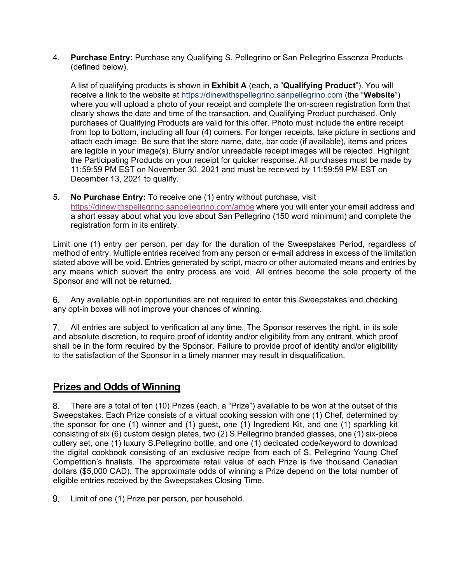4. **Purchase Entry:** Purchase any Qualifying S. Pellegrino or San Pellegrino Essenza Products (defined below).

A list of qualifying products is shown in **Exhibit A** (each, a "**Qualifying Product**"). You will receive a link to the website at https://dinewithspellegrino.sanpellegrino.com (the "**Website**") where you will upload a photo of your receipt and complete the on-screen registration form that clearly shows the date and time of the transaction, and Qualifying Product purchased. Only purchases of Qualifying Products are valid for this offer. Photo must include the entire receipt from top to bottom, including all four (4) corners. For longer receipts, take picture in sections and attach each image. Be sure that the store name, date, bar code (if available), items and prices are legible in your image(s). Blurry and/or unreadable receipt images will be rejected. Highlight the Participating Products on your receipt for quicker response. All purchases must be made by 11:59:59 PM EST on November 30, 2021 and must be received by 11:59:59 PM EST on December 13, 2021 to qualify.

5. **No Purchase Entry:** To receive one (1) entry without purchase, visit https://dinewithspellegrino.sanpellegrino.com/amoe where you will enter your email address and a short essay about what you love about San Pellegrino (150 word minimum) and complete the registration form in its entirety.

Limit one (1) entry per person, per day for the duration of the Sweepstakes Period, regardless of method of entry. Multiple entries received from any person or e-mail address in excess of the limitation stated above will be void. Entries generated by script, macro or other automated means and entries by any means which subvert the entry process are void. All entries become the sole property of the Sponsor and will not be returned.

Any available opt-in opportunities are not required to enter this Sweepstakes and checking 6. any opt-in boxes will not improve your chances of winning.

All entries are subject to verification at any time. The Sponsor reserves the right, in its sole and absolute discretion, to require proof of identity and/or eligibility from any entrant, which proof shall be in the form required by the Sponsor. Failure to provide proof of identity and/or eligibility to the satisfaction of the Sponsor in a timely manner may result in disqualification.

# **Prizes and Odds of Winning**

There are a total of ten (10) Prizes (each, a "Prize") available to be won at the outset of this 8. Sweepstakes. Each Prize consists of a virtual cooking session with one (1) Chef, determined by the sponsor for one (1) winner and (1) guest, one (1) Ingredient Kit, and one (1) sparkling kit consisting of six (6) custom design plates, two (2) S.Pellegrino branded glasses, one (1) six-piece cutlery set, one (1) luxury S.Pellegrino bottle, and one (1) dedicated code/keyword to download the digital cookbook consisting of an exclusive recipe from each of S. Pellegrino Young Chef Competition's finalists. The approximate retail value of each Prize is five thousand Canadian dollars (\$5,000 CAD). The approximate odds of winning a Prize depend on the total number of eligible entries received by the Sweepstakes Closing Time.

9. Limit of one (1) Prize per person, per household.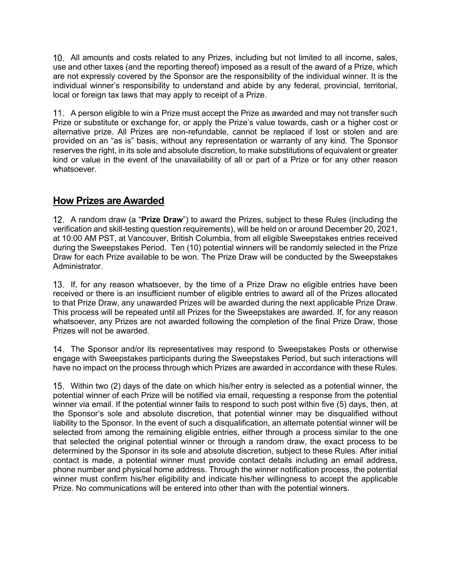All amounts and costs related to any Prizes, including but not limited to all income, sales, use and other taxes (and the reporting thereof) imposed as a result of the award of a Prize, which are not expressly covered by the Sponsor are the responsibility of the individual winner. It is the individual winner's responsibility to understand and abide by any federal, provincial, territorial, local or foreign tax laws that may apply to receipt of a Prize.

11. A person eligible to win a Prize must accept the Prize as awarded and may not transfer such Prize or substitute or exchange for, or apply the Prize's value towards, cash or a higher cost or alternative prize. All Prizes are non-refundable, cannot be replaced if lost or stolen and are provided on an "as is" basis, without any representation or warranty of any kind. The Sponsor reserves the right, in its sole and absolute discretion, to make substitutions of equivalent or greater kind or value in the event of the unavailability of all or part of a Prize or for any other reason whatsoever.

# **How Prizes are Awarded**

A random draw (a "**Prize Draw**") to award the Prizes, subject to these Rules (including the verification and skill-testing question requirements), will be held on or around December 20, 2021, at 10:00 AM PST, at Vancouver, British Columbia, from all eligible Sweepstakes entries received during the Sweepstakes Period. Ten (10) potential winners will be randomly selected in the Prize Draw for each Prize available to be won. The Prize Draw will be conducted by the Sweepstakes Administrator.

If, for any reason whatsoever, by the time of a Prize Draw no eligible entries have been received or there is an insufficient number of eligible entries to award all of the Prizes allocated to that Prize Draw, any unawarded Prizes will be awarded during the next applicable Prize Draw. This process will be repeated until all Prizes for the Sweepstakes are awarded. If, for any reason whatsoever, any Prizes are not awarded following the completion of the final Prize Draw, those Prizes will not be awarded.

The Sponsor and/or its representatives may respond to Sweepstakes Posts or otherwise engage with Sweepstakes participants during the Sweepstakes Period, but such interactions will have no impact on the process through which Prizes are awarded in accordance with these Rules.

Within two (2) days of the date on which his/her entry is selected as a potential winner, the potential winner of each Prize will be notified via email, requesting a response from the potential winner via email. If the potential winner fails to respond to such post within five (5) days, then, at the Sponsor's sole and absolute discretion, that potential winner may be disqualified without liability to the Sponsor. In the event of such a disqualification, an alternate potential winner will be selected from among the remaining eligible entries, either through a process similar to the one that selected the original potential winner or through a random draw, the exact process to be determined by the Sponsor in its sole and absolute discretion, subject to these Rules. After initial contact is made, a potential winner must provide contact details including an email address, phone number and physical home address. Through the winner notification process, the potential winner must confirm his/her eligibility and indicate his/her willingness to accept the applicable Prize. No communications will be entered into other than with the potential winners.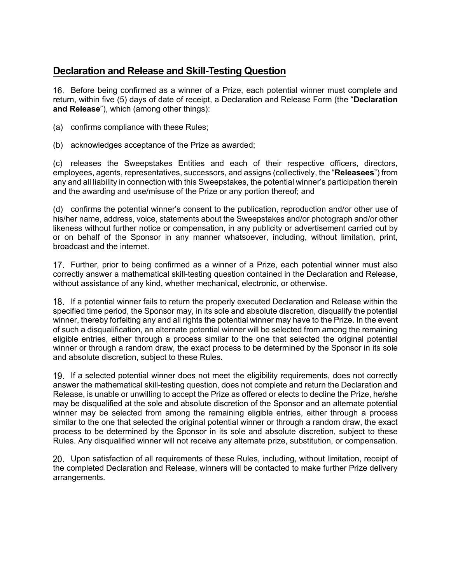# **Declaration and Release and Skill-Testing Question**

16. Before being confirmed as a winner of a Prize, each potential winner must complete and return, within five (5) days of date of receipt, a Declaration and Release Form (the "**Declaration and Release**"), which (among other things):

- (a) confirms compliance with these Rules;
- (b) acknowledges acceptance of the Prize as awarded;

(c) releases the Sweepstakes Entities and each of their respective officers, directors, employees, agents, representatives, successors, and assigns (collectively, the "**Releasees**") from any and all liability in connection with this Sweepstakes, the potential winner's participation therein and the awarding and use/misuse of the Prize or any portion thereof; and

(d) confirms the potential winner's consent to the publication, reproduction and/or other use of his/her name, address, voice, statements about the Sweepstakes and/or photograph and/or other likeness without further notice or compensation, in any publicity or advertisement carried out by or on behalf of the Sponsor in any manner whatsoever, including, without limitation, print, broadcast and the internet.

17. Further, prior to being confirmed as a winner of a Prize, each potential winner must also correctly answer a mathematical skill-testing question contained in the Declaration and Release, without assistance of any kind, whether mechanical, electronic, or otherwise.

If a potential winner fails to return the properly executed Declaration and Release within the specified time period, the Sponsor may, in its sole and absolute discretion, disqualify the potential winner, thereby forfeiting any and all rights the potential winner may have to the Prize. In the event of such a disqualification, an alternate potential winner will be selected from among the remaining eligible entries, either through a process similar to the one that selected the original potential winner or through a random draw, the exact process to be determined by the Sponsor in its sole and absolute discretion, subject to these Rules.

19. If a selected potential winner does not meet the eligibility requirements, does not correctly answer the mathematical skill-testing question, does not complete and return the Declaration and Release, is unable or unwilling to accept the Prize as offered or elects to decline the Prize, he/she may be disqualified at the sole and absolute discretion of the Sponsor and an alternate potential winner may be selected from among the remaining eligible entries, either through a process similar to the one that selected the original potential winner or through a random draw, the exact process to be determined by the Sponsor in its sole and absolute discretion, subject to these Rules. Any disqualified winner will not receive any alternate prize, substitution, or compensation.

20. Upon satisfaction of all requirements of these Rules, including, without limitation, receipt of the completed Declaration and Release, winners will be contacted to make further Prize delivery arrangements.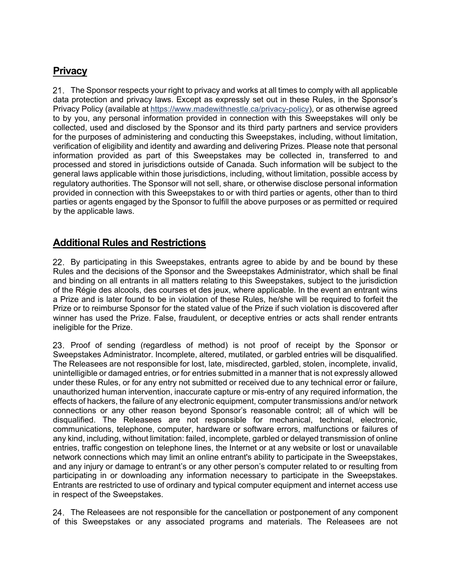# **Privacy**

21. The Sponsor respects your right to privacy and works at all times to comply with all applicable data protection and privacy laws. Except as expressly set out in these Rules, in the Sponsor's Privacy Policy (available at https://www.madewithnestle.ca/privacy-policy), or as otherwise agreed to by you, any personal information provided in connection with this Sweepstakes will only be collected, used and disclosed by the Sponsor and its third party partners and service providers for the purposes of administering and conducting this Sweepstakes, including, without limitation, verification of eligibility and identity and awarding and delivering Prizes. Please note that personal information provided as part of this Sweepstakes may be collected in, transferred to and processed and stored in jurisdictions outside of Canada. Such information will be subject to the general laws applicable within those jurisdictions, including, without limitation, possible access by regulatory authorities. The Sponsor will not sell, share, or otherwise disclose personal information provided in connection with this Sweepstakes to or with third parties or agents, other than to third parties or agents engaged by the Sponsor to fulfill the above purposes or as permitted or required by the applicable laws.

# **Additional Rules and Restrictions**

22. By participating in this Sweepstakes, entrants agree to abide by and be bound by these Rules and the decisions of the Sponsor and the Sweepstakes Administrator, which shall be final and binding on all entrants in all matters relating to this Sweepstakes, subject to the jurisdiction of the Régie des alcools, des courses et des jeux, where applicable. In the event an entrant wins a Prize and is later found to be in violation of these Rules, he/she will be required to forfeit the Prize or to reimburse Sponsor for the stated value of the Prize if such violation is discovered after winner has used the Prize. False, fraudulent, or deceptive entries or acts shall render entrants ineligible for the Prize.

23. Proof of sending (regardless of method) is not proof of receipt by the Sponsor or Sweepstakes Administrator. Incomplete, altered, mutilated, or garbled entries will be disqualified. The Releasees are not responsible for lost, late, misdirected, garbled, stolen, incomplete, invalid, unintelligible or damaged entries, or for entries submitted in a manner that is not expressly allowed under these Rules, or for any entry not submitted or received due to any technical error or failure, unauthorized human intervention, inaccurate capture or mis-entry of any required information, the effects of hackers, the failure of any electronic equipment, computer transmissions and/or network connections or any other reason beyond Sponsor's reasonable control; all of which will be disqualified. The Releasees are not responsible for mechanical, technical, electronic, communications, telephone, computer, hardware or software errors, malfunctions or failures of any kind, including, without limitation: failed, incomplete, garbled or delayed transmission of online entries, traffic congestion on telephone lines, the Internet or at any website or lost or unavailable network connections which may limit an online entrant's ability to participate in the Sweepstakes, and any injury or damage to entrant's or any other person's computer related to or resulting from participating in or downloading any information necessary to participate in the Sweepstakes. Entrants are restricted to use of ordinary and typical computer equipment and internet access use in respect of the Sweepstakes.

24. The Releasees are not responsible for the cancellation or postponement of any component of this Sweepstakes or any associated programs and materials. The Releasees are not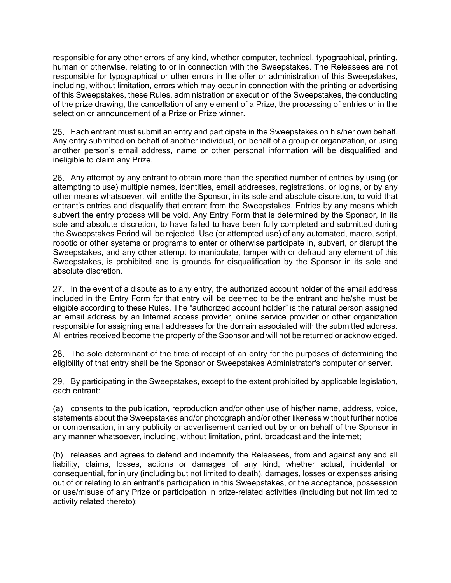responsible for any other errors of any kind, whether computer, technical, typographical, printing, human or otherwise, relating to or in connection with the Sweepstakes. The Releasees are not responsible for typographical or other errors in the offer or administration of this Sweepstakes, including, without limitation, errors which may occur in connection with the printing or advertising of this Sweepstakes, these Rules, administration or execution of the Sweepstakes, the conducting of the prize drawing, the cancellation of any element of a Prize, the processing of entries or in the selection or announcement of a Prize or Prize winner.

Each entrant must submit an entry and participate in the Sweepstakes on his/her own behalf. Any entry submitted on behalf of another individual, on behalf of a group or organization, or using another person's email address, name or other personal information will be disqualified and ineligible to claim any Prize.

26. Any attempt by any entrant to obtain more than the specified number of entries by using (or attempting to use) multiple names, identities, email addresses, registrations, or logins, or by any other means whatsoever, will entitle the Sponsor, in its sole and absolute discretion, to void that entrant's entries and disqualify that entrant from the Sweepstakes. Entries by any means which subvert the entry process will be void. Any Entry Form that is determined by the Sponsor, in its sole and absolute discretion, to have failed to have been fully completed and submitted during the Sweepstakes Period will be rejected. Use (or attempted use) of any automated, macro, script, robotic or other systems or programs to enter or otherwise participate in, subvert, or disrupt the Sweepstakes, and any other attempt to manipulate, tamper with or defraud any element of this Sweepstakes, is prohibited and is grounds for disqualification by the Sponsor in its sole and absolute discretion.

27. In the event of a dispute as to any entry, the authorized account holder of the email address included in the Entry Form for that entry will be deemed to be the entrant and he/she must be eligible according to these Rules. The "authorized account holder" is the natural person assigned an email address by an Internet access provider, online service provider or other organization responsible for assigning email addresses for the domain associated with the submitted address. All entries received become the property of the Sponsor and will not be returned or acknowledged.

The sole determinant of the time of receipt of an entry for the purposes of determining the eligibility of that entry shall be the Sponsor or Sweepstakes Administrator's computer or server.

29. By participating in the Sweepstakes, except to the extent prohibited by applicable legislation, each entrant:

(a) consents to the publication, reproduction and/or other use of his/her name, address, voice, statements about the Sweepstakes and/or photograph and/or other likeness without further notice or compensation, in any publicity or advertisement carried out by or on behalf of the Sponsor in any manner whatsoever, including, without limitation, print, broadcast and the internet;

(b) releases and agrees to defend and indemnify the Releasees, from and against any and all liability, claims, losses, actions or damages of any kind, whether actual, incidental or consequential, for injury (including but not limited to death), damages, losses or expenses arising out of or relating to an entrant's participation in this Sweepstakes, or the acceptance, possession or use/misuse of any Prize or participation in prize-related activities (including but not limited to activity related thereto);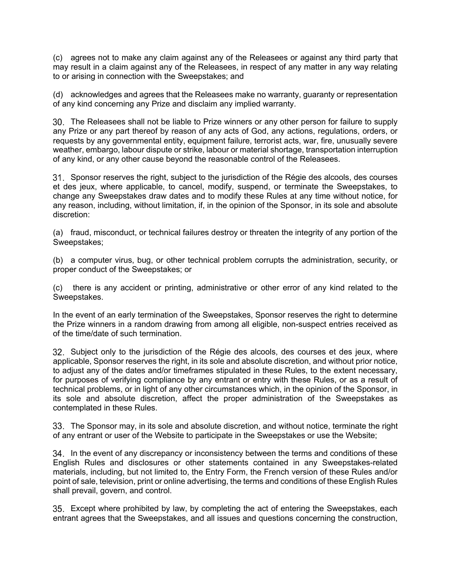(c) agrees not to make any claim against any of the Releasees or against any third party that may result in a claim against any of the Releasees, in respect of any matter in any way relating to or arising in connection with the Sweepstakes; and

(d) acknowledges and agrees that the Releasees make no warranty, guaranty or representation of any kind concerning any Prize and disclaim any implied warranty.

30. The Releasees shall not be liable to Prize winners or any other person for failure to supply any Prize or any part thereof by reason of any acts of God, any actions, regulations, orders, or requests by any governmental entity, equipment failure, terrorist acts, war, fire, unusually severe weather, embargo, labour dispute or strike, labour or material shortage, transportation interruption of any kind, or any other cause beyond the reasonable control of the Releasees.

Sponsor reserves the right, subject to the jurisdiction of the Régie des alcools, des courses et des jeux, where applicable, to cancel, modify, suspend, or terminate the Sweepstakes, to change any Sweepstakes draw dates and to modify these Rules at any time without notice, for any reason, including, without limitation, if, in the opinion of the Sponsor, in its sole and absolute discretion:

(a) fraud, misconduct, or technical failures destroy or threaten the integrity of any portion of the Sweepstakes;

(b) a computer virus, bug, or other technical problem corrupts the administration, security, or proper conduct of the Sweepstakes; or

(c) there is any accident or printing, administrative or other error of any kind related to the Sweepstakes.

In the event of an early termination of the Sweepstakes, Sponsor reserves the right to determine the Prize winners in a random drawing from among all eligible, non-suspect entries received as of the time/date of such termination.

32. Subject only to the jurisdiction of the Régie des alcools, des courses et des jeux, where applicable, Sponsor reserves the right, in its sole and absolute discretion, and without prior notice, to adjust any of the dates and/or timeframes stipulated in these Rules, to the extent necessary, for purposes of verifying compliance by any entrant or entry with these Rules, or as a result of technical problems, or in light of any other circumstances which, in the opinion of the Sponsor, in its sole and absolute discretion, affect the proper administration of the Sweepstakes as contemplated in these Rules.

33. The Sponsor may, in its sole and absolute discretion, and without notice, terminate the right of any entrant or user of the Website to participate in the Sweepstakes or use the Website;

34. In the event of any discrepancy or inconsistency between the terms and conditions of these English Rules and disclosures or other statements contained in any Sweepstakes-related materials, including, but not limited to, the Entry Form, the French version of these Rules and/or point of sale, television, print or online advertising, the terms and conditions of these English Rules shall prevail, govern, and control.

Except where prohibited by law, by completing the act of entering the Sweepstakes, each entrant agrees that the Sweepstakes, and all issues and questions concerning the construction,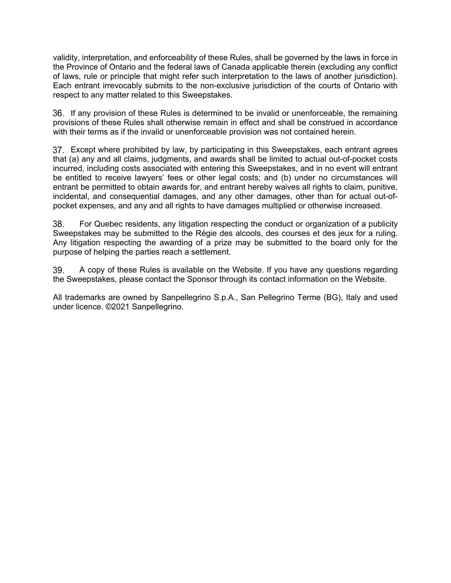validity, interpretation, and enforceability of these Rules, shall be governed by the laws in force in the Province of Ontario and the federal laws of Canada applicable therein (excluding any conflict of laws, rule or principle that might refer such interpretation to the laws of another jurisdiction). Each entrant irrevocably submits to the non-exclusive jurisdiction of the courts of Ontario with respect to any matter related to this Sweepstakes.

36. If any provision of these Rules is determined to be invalid or unenforceable, the remaining provisions of these Rules shall otherwise remain in effect and shall be construed in accordance with their terms as if the invalid or unenforceable provision was not contained herein.

Except where prohibited by law, by participating in this Sweepstakes, each entrant agrees that (a) any and all claims, judgments, and awards shall be limited to actual out-of-pocket costs incurred, including costs associated with entering this Sweepstakes, and in no event will entrant be entitled to receive lawyers' fees or other legal costs; and (b) under no circumstances will entrant be permitted to obtain awards for, and entrant hereby waives all rights to claim, punitive, incidental, and consequential damages, and any other damages, other than for actual out-ofpocket expenses, and any and all rights to have damages multiplied or otherwise increased.

38. For Quebec residents, any litigation respecting the conduct or organization of a publicity Sweepstakes may be submitted to the Régie des alcools, des courses et des jeux for a ruling. Any litigation respecting the awarding of a prize may be submitted to the board only for the purpose of helping the parties reach a settlement.

39. A copy of these Rules is available on the Website. If you have any questions regarding the Sweepstakes, please contact the Sponsor through its contact information on the Website.

All trademarks are owned by Sanpellegrino S.p.A., San Pellegrino Terme (BG), Italy and used under licence. ©2021 Sanpellegrino.